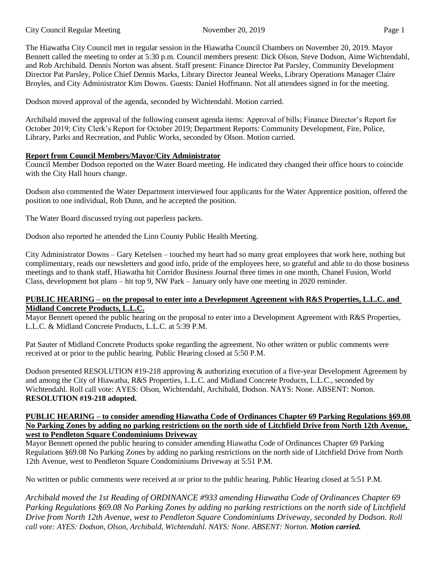The Hiawatha City Council met in regular session in the Hiawatha Council Chambers on November 20, 2019. Mayor Bennett called the meeting to order at 5:30 p.m. Council members present: Dick Olson, Steve Dodson, Aime Wichtendahl, and Rob Archibald. Dennis Norton was absent. Staff present: Finance Director Pat Parsley, Community Development Director Pat Parsley, Police Chief Dennis Marks, Library Director Jeaneal Weeks, Library Operations Manager Claire Broyles, and City Administrator Kim Downs. Guests: Daniel Hoffmann. Not all attendees signed in for the meeting.

Dodson moved approval of the agenda, seconded by Wichtendahl. Motion carried.

Archibald moved the approval of the following consent agenda items: Approval of bills; Finance Director's Report for October 2019; City Clerk's Report for October 2019; Department Reports: Community Development, Fire, Police, Library, Parks and Recreation, and Public Works, seconded by Olson. Motion carried.

### **Report from Council Members/Mayor/City Administrator**

Council Member Dodson reported on the Water Board meeting. He indicated they changed their office hours to coincide with the City Hall hours change.

Dodson also commented the Water Department interviewed four applicants for the Water Apprentice position, offered the position to one individual, Rob Dunn, and he accepted the position.

The Water Board discussed trying out paperless packets.

Dodson also reported he attended the Linn County Public Health Meeting.

City Administrator Downs – Gary Ketelsen – touched my heart had so many great employees that work here, nothing but complimentary, reads our newsletters and good info, pride of the employees here, so grateful and able to do those business meetings and to thank staff, Hiawatha hit Corridor Business Journal three times in one month, Chanel Fusion, World Class, development hot plans – hit top 9, NW Park – January only have one meeting in 2020 reminder.

#### **PUBLIC HEARING – on the proposal to enter into a Development Agreement with R&S Properties, L.L.C. and Midland Concrete Products, L.L.C.**

Mayor Bennett opened the public hearing on the proposal to enter into a Development Agreement with R&S Properties, L.L.C. & Midland Concrete Products, L.L.C. at 5:39 P.M.

Pat Sauter of Midland Concrete Products spoke regarding the agreement. No other written or public comments were received at or prior to the public hearing. Public Hearing closed at 5:50 P.M.

Dodson presented RESOLUTION #19-218 approving & authorizing execution of a five-year Development Agreement by and among the City of Hiawatha, R&S Properties, L.L.C. and Midland Concrete Products, L.L.C., seconded by Wichtendahl. Roll call vote: AYES: Olson, Wichtendahl, Archibald, Dodson. NAYS: None. ABSENT: Norton. **RESOLUTION #19-218 adopted.** 

#### **PUBLIC HEARING – to consider amending Hiawatha Code of Ordinances Chapter 69 Parking Regulations §69.08 No Parking Zones by adding no parking restrictions on the north side of Litchfield Drive from North 12th Avenue, west to Pendleton Square Condominiums Driveway**

Mayor Bennett opened the public hearing to consider amending Hiawatha Code of Ordinances Chapter 69 Parking Regulations §69.08 No Parking Zones by adding no parking restrictions on the north side of Litchfield Drive from North 12th Avenue, west to Pendleton Square Condominiums Driveway at 5:51 P.M.

No written or public comments were received at or prior to the public hearing. Public Hearing closed at 5:51 P.M.

*Archibald moved the 1st Reading of ORDINANCE #933 amending Hiawatha Code of Ordinances Chapter 69 Parking Regulations §69.08 No Parking Zones by adding no parking restrictions on the north side of Litchfield Drive from North 12th Avenue, west to Pendleton Square Condominiums Driveway, seconded by Dodson. Roll call vote: AYES: Dodson, Olson, Archibald, Wichtendahl. NAYS: None. ABSENT: Norton. Motion carried.*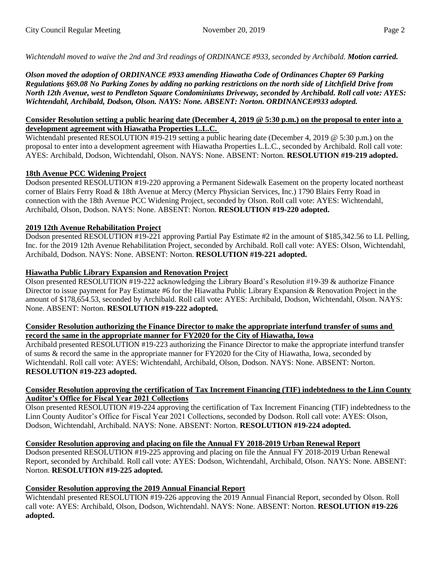*Wichtendahl moved to waive the 2nd and 3rd readings of ORDINANCE #933, seconded by Archibald. Motion carried.*

*Olson moved the adoption of ORDINANCE #933 amending Hiawatha Code of Ordinances Chapter 69 Parking Regulations §69.08 No Parking Zones by adding no parking restrictions on the north side of Litchfield Drive from North 12th Avenue, west to Pendleton Square Condominiums Driveway, seconded by Archibald. Roll call vote: AYES: Wichtendahl, Archibald, Dodson, Olson. NAYS: None. ABSENT: Norton. ORDINANCE#933 adopted.*

#### **Consider Resolution setting a public hearing date (December 4, 2019 @ 5:30 p.m.) on the proposal to enter into a development agreement with Hiawatha Properties L.L.C.**

Wichtendahl presented RESOLUTION #19-219 setting a public hearing date (December 4, 2019 @ 5:30 p.m.) on the proposal to enter into a development agreement with Hiawatha Properties L.L.C., seconded by Archibald. Roll call vote: AYES: Archibald, Dodson, Wichtendahl, Olson. NAYS: None. ABSENT: Norton. **RESOLUTION #19-219 adopted.** 

# **18th Avenue PCC Widening Project**

Dodson presented RESOLUTION #19-220 approving a Permanent Sidewalk Easement on the property located northeast corner of Blairs Ferry Road & 18th Avenue at Mercy (Mercy Physician Services, Inc.) 1790 Blairs Ferry Road in connection with the 18th Avenue PCC Widening Project, seconded by Olson. Roll call vote: AYES: Wichtendahl, Archibald, Olson, Dodson. NAYS: None. ABSENT: Norton. **RESOLUTION #19-220 adopted.** 

### **2019 12th Avenue Rehabilitation Project**

Dodson presented RESOLUTION #19-221 approving Partial Pay Estimate #2 in the amount of \$185,342.56 to LL Pelling, Inc. for the 2019 12th Avenue Rehabilitation Project, seconded by Archibald. Roll call vote: AYES: Olson, Wichtendahl, Archibald, Dodson. NAYS: None. ABSENT: Norton. **RESOLUTION #19-221 adopted.** 

# **Hiawatha Public Library Expansion and Renovation Project**

Olson presented RESOLUTION #19-222 acknowledging the Library Board's Resolution #19-39 & authorize Finance Director to issue payment for Pay Estimate #6 for the Hiawatha Public Library Expansion & Renovation Project in the amount of \$178,654.53, seconded by Archibald. Roll call vote: AYES: Archibald, Dodson, Wichtendahl, Olson. NAYS: None. ABSENT: Norton. **RESOLUTION #19-222 adopted.** 

#### **Consider Resolution authorizing the Finance Director to make the appropriate interfund transfer of sums and record the same in the appropriate manner for FY2020 for the City of Hiawatha, Iowa**

Archibald presented RESOLUTION #19-223 authorizing the Finance Director to make the appropriate interfund transfer of sums & record the same in the appropriate manner for FY2020 for the City of Hiawatha, Iowa, seconded by Wichtendahl. Roll call vote: AYES: Wichtendahl, Archibald, Olson, Dodson. NAYS: None. ABSENT: Norton. **RESOLUTION #19-223 adopted.** 

#### **Consider Resolution approving the certification of Tax Increment Financing (TIF) indebtedness to the Linn County Auditor's Office for Fiscal Year 2021 Collections**

Olson presented RESOLUTION #19-224 approving the certification of Tax Increment Financing (TIF) indebtedness to the Linn County Auditor's Office for Fiscal Year 2021 Collections, seconded by Dodson. Roll call vote: AYES: Olson, Dodson, Wichtendahl, Archibald. NAYS: None. ABSENT: Norton. **RESOLUTION #19-224 adopted.**

# **Consider Resolution approving and placing on file the Annual FY 2018-2019 Urban Renewal Report**

Dodson presented RESOLUTION #19-225 approving and placing on file the Annual FY 2018-2019 Urban Renewal Report, seconded by Archibald. Roll call vote: AYES: Dodson, Wichtendahl, Archibald, Olson. NAYS: None. ABSENT: Norton. **RESOLUTION #19-225 adopted.** 

### **Consider Resolution approving the 2019 Annual Financial Report**

Wichtendahl presented RESOLUTION #19-226 approving the 2019 Annual Financial Report, seconded by Olson. Roll call vote: AYES: Archibald, Olson, Dodson, Wichtendahl. NAYS: None. ABSENT: Norton. **RESOLUTION #19-226 adopted.**